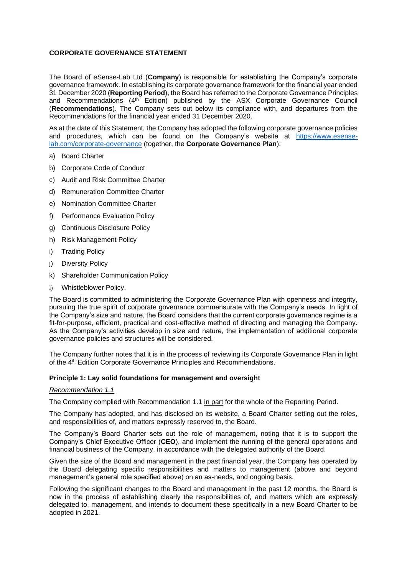# **CORPORATE GOVERNANCE STATEMENT**

The Board of eSense-Lab Ltd (**Company**) is responsible for establishing the Company's corporate governance framework. In establishing its corporate governance framework for the financial year ended 31 December 2020 (**Reporting Period**), the Board has referred to the Corporate Governance Principles and Recommendations (4<sup>th</sup> Edition) published by the ASX Corporate Governance Council (**Recommendations**). The Company sets out below its compliance with, and departures from the Recommendations for the financial year ended 31 December 2020.

As at the date of this Statement, the Company has adopted the following corporate governance policies and procedures, which can be found on the Company's website at [https://www.esense](https://www.esense-lab.com/corporate-governance)[lab.com/corporate-governance](https://www.esense-lab.com/corporate-governance) (together, the **Corporate Governance Plan**):

- a) Board Charter
- b) Corporate Code of Conduct
- c) Audit and Risk Committee Charter
- d) Remuneration Committee Charter
- e) Nomination Committee Charter
- f) Performance Evaluation Policy
- g) Continuous Disclosure Policy
- h) Risk Management Policy
- i) Trading Policy
- j) Diversity Policy
- k) Shareholder Communication Policy
- l) Whistleblower Policy.

The Board is committed to administering the Corporate Governance Plan with openness and integrity, pursuing the true spirit of corporate governance commensurate with the Company's needs. In light of the Company's size and nature, the Board considers that the current corporate governance regime is a fit-for-purpose, efficient, practical and cost-effective method of directing and managing the Company. As the Company's activities develop in size and nature, the implementation of additional corporate governance policies and structures will be considered.

The Company further notes that it is in the process of reviewing its Corporate Governance Plan in light of the 4<sup>th</sup> Edition Corporate Governance Principles and Recommendations.

#### **Principle 1: Lay solid foundations for management and oversight**

#### *Recommendation 1.1*

The Company complied with Recommendation 1.1 in part for the whole of the Reporting Period.

The Company has adopted, and has disclosed on its website, a Board Charter setting out the roles, and responsibilities of, and matters expressly reserved to, the Board.

The Company's Board Charter sets out the role of management, noting that it is to support the Company's Chief Executive Officer (**CEO**), and implement the running of the general operations and financial business of the Company, in accordance with the delegated authority of the Board.

Given the size of the Board and management in the past financial year, the Company has operated by the Board delegating specific responsibilities and matters to management (above and beyond management's general role specified above) on an as-needs, and ongoing basis.

Following the significant changes to the Board and management in the past 12 months, the Board is now in the process of establishing clearly the responsibilities of, and matters which are expressly delegated to, management, and intends to document these specifically in a new Board Charter to be adopted in 2021.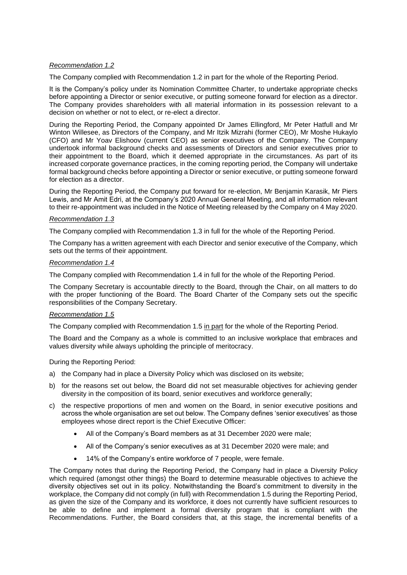# *Recommendation 1.2*

The Company complied with Recommendation 1.2 in part for the whole of the Reporting Period.

It is the Company's policy under its Nomination Committee Charter, to undertake appropriate checks before appointing a Director or senior executive, or putting someone forward for election as a director. The Company provides shareholders with all material information in its possession relevant to a decision on whether or not to elect, or re-elect a director.

During the Reporting Period, the Company appointed Dr James Ellingford, Mr Peter Hatfull and Mr Winton Willesee, as Directors of the Company, and Mr Itzik Mizrahi (former CEO), Mr Moshe Hukaylo (CFO) and Mr Yoav Elishoov (current CEO) as senior executives of the Company. The Company undertook informal background checks and assessments of Directors and senior executives prior to their appointment to the Board, which it deemed appropriate in the circumstances. As part of its increased corporate governance practices, in the coming reporting period, the Company will undertake formal background checks before appointing a Director or senior executive, or putting someone forward for election as a director.

During the Reporting Period, the Company put forward for re-election, Mr Benjamin Karasik, Mr Piers Lewis, and Mr Amit Edri, at the Company's 2020 Annual General Meeting, and all information relevant to their re-appointment was included in the Notice of Meeting released by the Company on 4 May 2020.

# *Recommendation 1.3*

The Company complied with Recommendation 1.3 in full for the whole of the Reporting Period.

The Company has a written agreement with each Director and senior executive of the Company, which sets out the terms of their appointment.

## *Recommendation 1.4*

The Company complied with Recommendation 1.4 in full for the whole of the Reporting Period.

The Company Secretary is accountable directly to the Board, through the Chair, on all matters to do with the proper functioning of the Board. The Board Charter of the Company sets out the specific responsibilities of the Company Secretary.

## *Recommendation 1.5*

The Company complied with Recommendation 1.5 in part for the whole of the Reporting Period.

The Board and the Company as a whole is committed to an inclusive workplace that embraces and values diversity while always upholding the principle of meritocracy.

During the Reporting Period:

- a) the Company had in place a Diversity Policy which was disclosed on its website;
- b) for the reasons set out below, the Board did not set measurable objectives for achieving gender diversity in the composition of its board, senior executives and workforce generally;
- c) the respective proportions of men and women on the Board, in senior executive positions and across the whole organisation are set out below. The Company defines 'senior executives' as those employees whose direct report is the Chief Executive Officer:
	- All of the Company's Board members as at 31 December 2020 were male;
	- All of the Company's senior executives as at 31 December 2020 were male; and
	- 14% of the Company's entire workforce of 7 people, were female.

The Company notes that during the Reporting Period, the Company had in place a Diversity Policy which required (amongst other things) the Board to determine measurable objectives to achieve the diversity objectives set out in its policy. Notwithstanding the Board's commitment to diversity in the workplace, the Company did not comply (in full) with Recommendation 1.5 during the Reporting Period, as given the size of the Company and its workforce, it does not currently have sufficient resources to be able to define and implement a formal diversity program that is compliant with the Recommendations. Further, the Board considers that, at this stage, the incremental benefits of a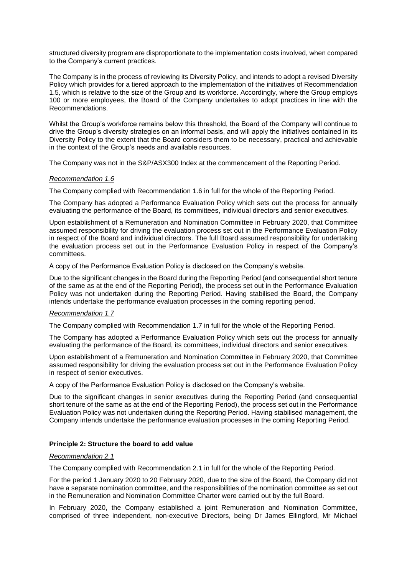structured diversity program are disproportionate to the implementation costs involved, when compared to the Company's current practices.

The Company is in the process of reviewing its Diversity Policy, and intends to adopt a revised Diversity Policy which provides for a tiered approach to the implementation of the initiatives of Recommendation 1.5, which is relative to the size of the Group and its workforce. Accordingly, where the Group employs 100 or more employees, the Board of the Company undertakes to adopt practices in line with the Recommendations.

Whilst the Group's workforce remains below this threshold, the Board of the Company will continue to drive the Group's diversity strategies on an informal basis, and will apply the initiatives contained in its Diversity Policy to the extent that the Board considers them to be necessary, practical and achievable in the context of the Group's needs and available resources.

The Company was not in the S&P/ASX300 Index at the commencement of the Reporting Period.

## *Recommendation 1.6*

The Company complied with Recommendation 1.6 in full for the whole of the Reporting Period.

The Company has adopted a Performance Evaluation Policy which sets out the process for annually evaluating the performance of the Board, its committees, individual directors and senior executives.

Upon establishment of a Remuneration and Nomination Committee in February 2020, that Committee assumed responsibility for driving the evaluation process set out in the Performance Evaluation Policy in respect of the Board and individual directors. The full Board assumed responsibility for undertaking the evaluation process set out in the Performance Evaluation Policy in respect of the Company's committees.

A copy of the Performance Evaluation Policy is disclosed on the Company's website.

Due to the significant changes in the Board during the Reporting Period (and consequential short tenure of the same as at the end of the Reporting Period), the process set out in the Performance Evaluation Policy was not undertaken during the Reporting Period. Having stabilised the Board, the Company intends undertake the performance evaluation processes in the coming reporting period.

#### *Recommendation 1.7*

The Company complied with Recommendation 1.7 in full for the whole of the Reporting Period.

The Company has adopted a Performance Evaluation Policy which sets out the process for annually evaluating the performance of the Board, its committees, individual directors and senior executives.

Upon establishment of a Remuneration and Nomination Committee in February 2020, that Committee assumed responsibility for driving the evaluation process set out in the Performance Evaluation Policy in respect of senior executives.

A copy of the Performance Evaluation Policy is disclosed on the Company's website.

Due to the significant changes in senior executives during the Reporting Period (and consequential short tenure of the same as at the end of the Reporting Period), the process set out in the Performance Evaluation Policy was not undertaken during the Reporting Period. Having stabilised management, the Company intends undertake the performance evaluation processes in the coming Reporting Period.

#### **Principle 2: Structure the board to add value**

#### *Recommendation 2.1*

The Company complied with Recommendation 2.1 in full for the whole of the Reporting Period.

For the period 1 January 2020 to 20 February 2020, due to the size of the Board, the Company did not have a separate nomination committee, and the responsibilities of the nomination committee as set out in the Remuneration and Nomination Committee Charter were carried out by the full Board.

In February 2020, the Company established a joint Remuneration and Nomination Committee, comprised of three independent, non-executive Directors, being Dr James Ellingford, Mr Michael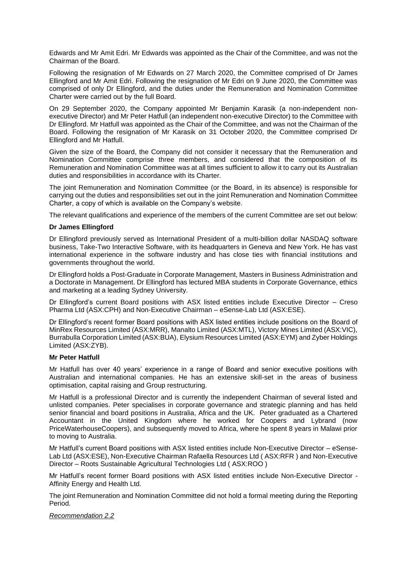Edwards and Mr Amit Edri. Mr Edwards was appointed as the Chair of the Committee, and was not the Chairman of the Board.

Following the resignation of Mr Edwards on 27 March 2020, the Committee comprised of Dr James Ellingford and Mr Amit Edri. Following the resignation of Mr Edri on 9 June 2020, the Committee was comprised of only Dr Ellingford, and the duties under the Remuneration and Nomination Committee Charter were carried out by the full Board.

On 29 September 2020, the Company appointed Mr Benjamin Karasik (a non-independent nonexecutive Director) and Mr Peter Hatfull (an independent non-executive Director) to the Committee with Dr Ellingford. Mr Hatfull was appointed as the Chair of the Committee, and was not the Chairman of the Board. Following the resignation of Mr Karasik on 31 October 2020, the Committee comprised Dr Ellingford and Mr Hatfull.

Given the size of the Board, the Company did not consider it necessary that the Remuneration and Nomination Committee comprise three members, and considered that the composition of its Remuneration and Nomination Committee was at all times sufficient to allow it to carry out its Australian duties and responsibilities in accordance with its Charter.

The joint Remuneration and Nomination Committee (or the Board, in its absence) is responsible for carrying out the duties and responsibilities set out in the joint Remuneration and Nomination Committee Charter, a copy of which is available on the Company's website.

The relevant qualifications and experience of the members of the current Committee are set out below:

# **Dr James Ellingford**

Dr Ellingford previously served as International President of a multi-billion dollar NASDAQ software business, Take-Two Interactive Software, with its headquarters in Geneva and New York. He has vast international experience in the software industry and has close ties with financial institutions and governments throughout the world.

Dr Ellingford holds a Post-Graduate in Corporate Management, Masters in Business Administration and a Doctorate in Management. Dr Ellingford has lectured MBA students in Corporate Governance, ethics and marketing at a leading Sydney University.

Dr Ellingford's current Board positions with ASX listed entities include Executive Director – Creso Pharma Ltd (ASX:CPH) and Non-Executive Chairman – eSense-Lab Ltd (ASX:ESE).

Dr Ellingford's recent former Board positions with ASX listed entities include positions on the Board of MinRex Resources Limited (ASX:MRR), Manalto Limited (ASX:MTL), Victory Mines Limited (ASX:VIC), Burrabulla Corporation Limited (ASX:BUA), Elysium Resources Limited (ASX:EYM) and Zyber Holdings Limited (ASX:ZYB).

## **Mr Peter Hatfull**

Mr Hatfull has over 40 years' experience in a range of Board and senior executive positions with Australian and international companies. He has an extensive skill-set in the areas of business optimisation, capital raising and Group restructuring.

Mr Hatfull is a professional Director and is currently the independent Chairman of several listed and unlisted companies. Peter specialises in corporate governance and strategic planning and has held senior financial and board positions in Australia, Africa and the UK. Peter graduated as a Chartered Accountant in the United Kingdom where he worked for Coopers and Lybrand (now PriceWaterhouseCoopers), and subsequently moved to Africa, where he spent 8 years in Malawi prior to moving to Australia.

Mr Hatfull's current Board positions with ASX listed entities include Non-Executive Director – eSense-Lab Ltd (ASX:ESE), Non-Executive Chairman Rafaella Resources Ltd ( ASX:RFR ) and Non-Executive Director – Roots Sustainable Agricultural Technologies Ltd ( ASX:ROO )

Mr Hatfull's recent former Board positions with ASX listed entities include Non-Executive Director - Affinity Energy and Health Ltd.

The joint Remuneration and Nomination Committee did not hold a formal meeting during the Reporting Period.

# *Recommendation 2.2*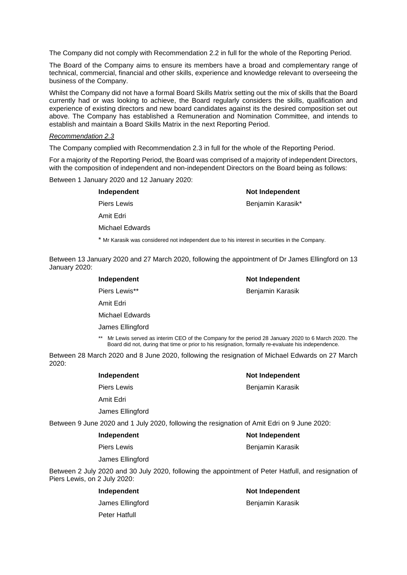The Company did not comply with Recommendation 2.2 in full for the whole of the Reporting Period.

The Board of the Company aims to ensure its members have a broad and complementary range of technical, commercial, financial and other skills, experience and knowledge relevant to overseeing the business of the Company.

Whilst the Company did not have a formal Board Skills Matrix setting out the mix of skills that the Board currently had or was looking to achieve, the Board regularly considers the skills, qualification and experience of existing directors and new board candidates against its the desired composition set out above. The Company has established a Remuneration and Nomination Committee, and intends to establish and maintain a Board Skills Matrix in the next Reporting Period.

#### *Recommendation 2.3*

The Company complied with Recommendation 2.3 in full for the whole of the Reporting Period.

For a majority of the Reporting Period, the Board was comprised of a majority of independent Directors, with the composition of independent and non-independent Directors on the Board being as follows:

Between 1 January 2020 and 12 January 2020:

| Independent                                                                                   | Not Independent   |
|-----------------------------------------------------------------------------------------------|-------------------|
| <b>Piers Lewis</b>                                                                            | Benjamin Karasik* |
| Amit Edri                                                                                     |                   |
| Michael Edwards                                                                               |                   |
| * Mr Karasik was considered not independent due to his interest in securities in the Company. |                   |

Between 13 January 2020 and 27 March 2020, following the appointment of Dr James Ellingford on 13 January 2020:

| Independent                                                                                                                                                                                                       | Not Independent  |
|-------------------------------------------------------------------------------------------------------------------------------------------------------------------------------------------------------------------|------------------|
| Piers Lewis**                                                                                                                                                                                                     | Benjamin Karasik |
| Amit Edri                                                                                                                                                                                                         |                  |
| Michael Edwards                                                                                                                                                                                                   |                  |
| James Ellingford                                                                                                                                                                                                  |                  |
| Mr Lewis served as interim CEO of the Company for the period 28 January 2020 to 6 March 2020. The<br>$***$<br>Board did not, during that time or prior to his resignation, formally re-evaluate his independence. |                  |

Between 28 March 2020 and 8 June 2020, following the resignation of Michael Edwards on 27 March 2020:

| Independent                                                                                 | Not Independent  |
|---------------------------------------------------------------------------------------------|------------------|
| Piers Lewis                                                                                 | Benjamin Karasik |
| Amit Edri                                                                                   |                  |
| James Ellingford                                                                            |                  |
| Between 9 June 2020 and 1 July 2020, following the resignation of Amit Edri on 9 June 2020: |                  |

| Independent        | Not Independent  |
|--------------------|------------------|
| <b>Piers Lewis</b> | Benjamin Karasik |
| James Ellingford   |                  |

Between 2 July 2020 and 30 July 2020, following the appointment of Peter Hatfull, and resignation of Piers Lewis, on 2 July 2020:

| Independent      | <b>Not Independent</b> |
|------------------|------------------------|
| James Ellingford | Benjamin Karasik       |
| Peter Hatfull    |                        |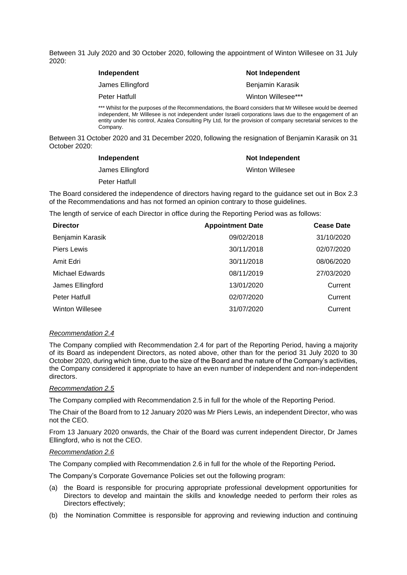Between 31 July 2020 and 30 October 2020, following the appointment of Winton Willesee on 31 July 2020:

| Independent                                                                                 | Not Independent    |
|---------------------------------------------------------------------------------------------|--------------------|
| James Ellingford                                                                            | Benjamin Karasik   |
| Peter Hatfull                                                                               | Winton Willesee*** |
| *** Whilst for the purposes of the Recommendations, the Board considers that Mr Willesee wo |                    |

whilst for the purposes of the purposes of the Recommendations, the Board considers that Mr Willes independent, Mr Willesee is not independent under Israeli corporations laws due to the engagement of an entity under his control, Azalea Consulting Pty Ltd, for the provision of company secretarial services to the Company.

Between 31 October 2020 and 31 December 2020, following the resignation of Benjamin Karasik on 31 October 2020:

| Independent          | Not Independent |
|----------------------|-----------------|
| James Ellingford     | Winton Willesee |
| <b>Peter Hatfull</b> |                 |

The Board considered the independence of directors having regard to the guidance set out in Box 2.3 of the Recommendations and has not formed an opinion contrary to those guidelines.

The length of service of each Director in office during the Reporting Period was as follows:

| <b>Director</b>        | <b>Appointment Date</b> | <b>Cease Date</b> |
|------------------------|-------------------------|-------------------|
| Benjamin Karasik       | 09/02/2018              | 31/10/2020        |
| Piers Lewis            | 30/11/2018              | 02/07/2020        |
| Amit Edri              | 30/11/2018              | 08/06/2020        |
| Michael Edwards        | 08/11/2019              | 27/03/2020        |
| James Ellingford       | 13/01/2020              | Current           |
| <b>Peter Hatfull</b>   | 02/07/2020              | Current           |
| <b>Winton Willesee</b> | 31/07/2020              | Current           |

#### *Recommendation 2.4*

The Company complied with Recommendation 2.4 for part of the Reporting Period, having a majority of its Board as independent Directors, as noted above, other than for the period 31 July 2020 to 30 October 2020, during which time, due to the size of the Board and the nature of the Company's activities, the Company considered it appropriate to have an even number of independent and non-independent directors.

## *Recommendation 2.5*

The Company complied with Recommendation 2.5 in full for the whole of the Reporting Period.

The Chair of the Board from to 12 January 2020 was Mr Piers Lewis, an independent Director, who was not the CEO.

From 13 January 2020 onwards, the Chair of the Board was current independent Director, Dr James Ellingford, who is not the CEO.

#### *Recommendation 2.6*

The Company complied with Recommendation 2.6 in full for the whole of the Reporting Period**.** 

The Company's Corporate Governance Policies set out the following program:

- (a) the Board is responsible for procuring appropriate professional development opportunities for Directors to develop and maintain the skills and knowledge needed to perform their roles as Directors effectively;
- (b) the Nomination Committee is responsible for approving and reviewing induction and continuing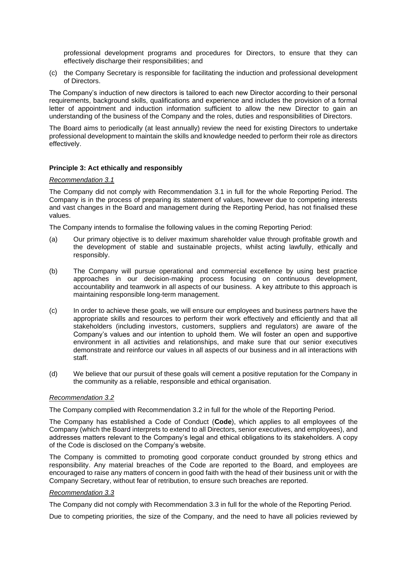professional development programs and procedures for Directors, to ensure that they can effectively discharge their responsibilities; and

(c) the Company Secretary is responsible for facilitating the induction and professional development of Directors.

The Company's induction of new directors is tailored to each new Director according to their personal requirements, background skills, qualifications and experience and includes the provision of a formal letter of appointment and induction information sufficient to allow the new Director to gain an understanding of the business of the Company and the roles, duties and responsibilities of Directors.

The Board aims to periodically (at least annually) review the need for existing Directors to undertake professional development to maintain the skills and knowledge needed to perform their role as directors effectively.

# **Principle 3: Act ethically and responsibly**

## *Recommendation 3.1*

The Company did not comply with Recommendation 3.1 in full for the whole Reporting Period. The Company is in the process of preparing its statement of values, however due to competing interests and vast changes in the Board and management during the Reporting Period, has not finalised these values.

The Company intends to formalise the following values in the coming Reporting Period:

- (a) Our primary objective is to deliver maximum shareholder value through profitable growth and the development of stable and sustainable projects, whilst acting lawfully, ethically and responsibly.
- (b) The Company will pursue operational and commercial excellence by using best practice approaches in our decision-making process focusing on continuous development, accountability and teamwork in all aspects of our business. A key attribute to this approach is maintaining responsible long-term management.
- (c) In order to achieve these goals, we will ensure our employees and business partners have the appropriate skills and resources to perform their work effectively and efficiently and that all stakeholders (including investors, customers, suppliers and regulators) are aware of the Company's values and our intention to uphold them. We will foster an open and supportive environment in all activities and relationships, and make sure that our senior executives demonstrate and reinforce our values in all aspects of our business and in all interactions with staff.
- (d) We believe that our pursuit of these goals will cement a positive reputation for the Company in the community as a reliable, responsible and ethical organisation.

## *Recommendation 3.2*

The Company complied with Recommendation 3.2 in full for the whole of the Reporting Period.

The Company has established a Code of Conduct (**Code**), which applies to all employees of the Company (which the Board interprets to extend to all Directors, senior executives, and employees), and addresses matters relevant to the Company's legal and ethical obligations to its stakeholders. A copy of the Code is disclosed on the Company's website.

The Company is committed to promoting good corporate conduct grounded by strong ethics and responsibility. Any material breaches of the Code are reported to the Board, and employees are encouraged to raise any matters of concern in good faith with the head of their business unit or with the Company Secretary, without fear of retribution, to ensure such breaches are reported.

## *Recommendation 3.3*

The Company did not comply with Recommendation 3.3 in full for the whole of the Reporting Period.

Due to competing priorities, the size of the Company, and the need to have all policies reviewed by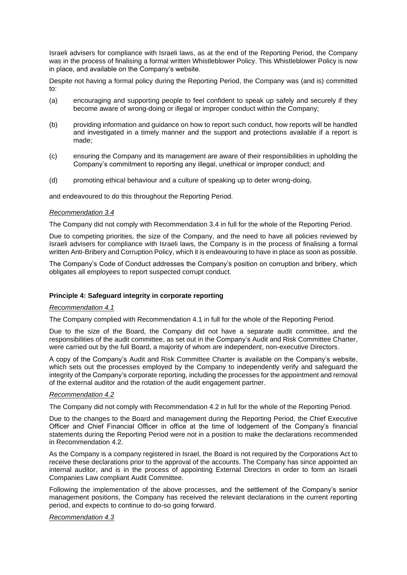Israeli advisers for compliance with Israeli laws, as at the end of the Reporting Period, the Company was in the process of finalising a formal written Whistleblower Policy. This Whistleblower Policy is now in place, and available on the Company's website.

Despite not having a formal policy during the Reporting Period, the Company was (and is) committed to:

- (a) encouraging and supporting people to feel confident to speak up safely and securely if they become aware of wrong-doing or illegal or improper conduct within the Company;
- (b) providing information and guidance on how to report such conduct, how reports will be handled and investigated in a timely manner and the support and protections available if a report is made;
- (c) ensuring the Company and its management are aware of their responsibilities in upholding the Company's commitment to reporting any illegal, unethical or improper conduct; and
- (d) promoting ethical behaviour and a culture of speaking up to deter wrong-doing,

and endeavoured to do this throughout the Reporting Period.

#### *Recommendation 3.4*

The Company did not comply with Recommendation 3.4 in full for the whole of the Reporting Period.

Due to competing priorities, the size of the Company, and the need to have all policies reviewed by Israeli advisers for compliance with Israeli laws, the Company is in the process of finalising a formal written Anti-Bribery and Corruption Policy, which it is endeavouring to have in place as soon as possible.

The Company's Code of Conduct addresses the Company's position on corruption and bribery, which obligates all employees to report suspected corrupt conduct.

# **Principle 4: Safeguard integrity in corporate reporting**

#### *Recommendation 4.1*

The Company complied with Recommendation 4.1 in full for the whole of the Reporting Period.

Due to the size of the Board, the Company did not have a separate audit committee, and the responsibilities of the audit committee, as set out in the Company's Audit and Risk Committee Charter, were carried out by the full Board, a majority of whom are independent, non-executive Directors.

A copy of the Company's Audit and Risk Committee Charter is available on the Company's website, which sets out the processes employed by the Company to independently verify and safeguard the integrity of the Company's corporate reporting, including the processes for the appointment and removal of the external auditor and the rotation of the audit engagement partner.

#### *Recommendation 4.2*

The Company did not comply with Recommendation 4.2 in full for the whole of the Reporting Period.

Due to the changes to the Board and management during the Reporting Period, the Chief Executive Officer and Chief Financial Officer in office at the time of lodgement of the Company's financial statements during the Reporting Period were not in a position to make the declarations recommended in Recommendation 4.2.

As the Company is a company registered in Israel, the Board is not required by the Corporations Act to receive these declarations prior to the approval of the accounts. The Company has since appointed an internal auditor, and is in the process of appointing External Directors in order to form an Israeli Companies Law compliant Audit Committee.

Following the implementation of the above processes, and the settlement of the Company's senior management positions, the Company has received the relevant declarations in the current reporting period, and expects to continue to do-so going forward.

#### *Recommendation 4.3*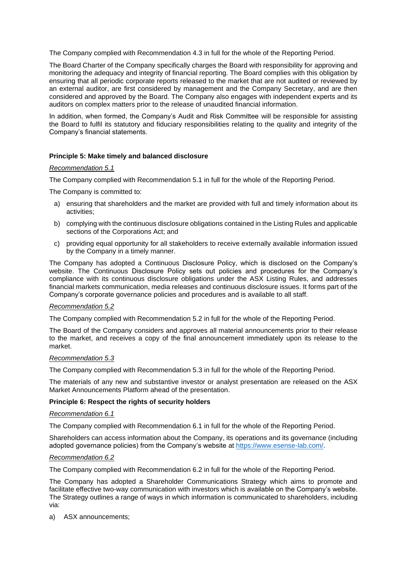The Company complied with Recommendation 4.3 in full for the whole of the Reporting Period.

The Board Charter of the Company specifically charges the Board with responsibility for approving and monitoring the adequacy and integrity of financial reporting. The Board complies with this obligation by ensuring that all periodic corporate reports released to the market that are not audited or reviewed by an external auditor, are first considered by management and the Company Secretary, and are then considered and approved by the Board. The Company also engages with independent experts and its auditors on complex matters prior to the release of unaudited financial information.

In addition, when formed, the Company's Audit and Risk Committee will be responsible for assisting the Board to fulfil its statutory and fiduciary responsibilities relating to the quality and integrity of the Company's financial statements.

## **Principle 5: Make timely and balanced disclosure**

## *Recommendation 5.1*

The Company complied with Recommendation 5.1 in full for the whole of the Reporting Period.

The Company is committed to:

- a) ensuring that shareholders and the market are provided with full and timely information about its activities;
- b) complying with the continuous disclosure obligations contained in the Listing Rules and applicable sections of the Corporations Act; and
- c) providing equal opportunity for all stakeholders to receive externally available information issued by the Company in a timely manner.

The Company has adopted a Continuous Disclosure Policy, which is disclosed on the Company's website. The Continuous Disclosure Policy sets out policies and procedures for the Company's compliance with its continuous disclosure obligations under the ASX Listing Rules, and addresses financial markets communication, media releases and continuous disclosure issues. It forms part of the Company's corporate governance policies and procedures and is available to all staff.

## *Recommendation 5.2*

The Company complied with Recommendation 5.2 in full for the whole of the Reporting Period.

The Board of the Company considers and approves all material announcements prior to their release to the market, and receives a copy of the final announcement immediately upon its release to the market.

#### *Recommendation 5.3*

The Company complied with Recommendation 5.3 in full for the whole of the Reporting Period.

The materials of any new and substantive investor or analyst presentation are released on the ASX Market Announcements Platform ahead of the presentation.

## **Principle 6: Respect the rights of security holders**

#### *Recommendation 6.1*

The Company complied with Recommendation 6.1 in full for the whole of the Reporting Period.

Shareholders can access information about the Company, its operations and its governance (including adopted governance policies) from the Company's website at [https://www.esense-lab.com/.](https://www.esense-lab.com/)

#### *Recommendation 6.2*

The Company complied with Recommendation 6.2 in full for the whole of the Reporting Period.

The Company has adopted a Shareholder Communications Strategy which aims to promote and facilitate effective two-way communication with investors which is available on the Company's website. The Strategy outlines a range of ways in which information is communicated to shareholders, including via:

a) ASX announcements;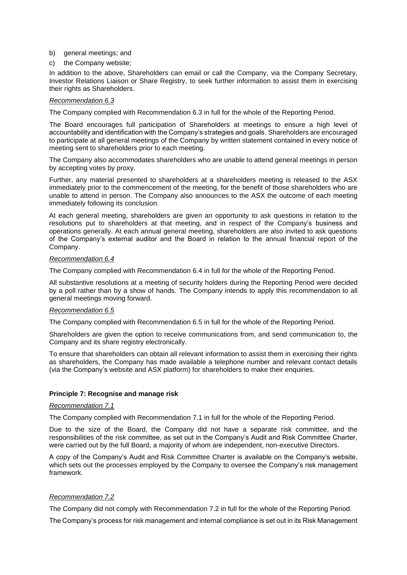- b) general meetings; and
- c) the Company website;

In addition to the above, Shareholders can email or call the Company, via the Company Secretary, Investor Relations Liaison or Share Registry, to seek further information to assist them in exercising their rights as Shareholders.

## *Recommendation 6.3*

The Company complied with Recommendation 6.3 in full for the whole of the Reporting Period.

The Board encourages full participation of Shareholders at meetings to ensure a high level of accountability and identification with the Company's strategies and goals. Shareholders are encouraged to participate at all general meetings of the Company by written statement contained in every notice of meeting sent to shareholders prior to each meeting.

The Company also accommodates shareholders who are unable to attend general meetings in person by accepting votes by proxy.

Further, any material presented to shareholders at a shareholders meeting is released to the ASX immediately prior to the commencement of the meeting, for the benefit of those shareholders who are unable to attend in person. The Company also announces to the ASX the outcome of each meeting immediately following its conclusion.

At each general meeting, shareholders are given an opportunity to ask questions in relation to the resolutions put to shareholders at that meeting, and in respect of the Company's business and operations generally. At each annual general meeting, shareholders are also invited to ask questions of the Company's external auditor and the Board in relation to the annual financial report of the Company.

## *Recommendation 6.4*

The Company complied with Recommendation 6.4 in full for the whole of the Reporting Period.

All substantive resolutions at a meeting of security holders during the Reporting Period were decided by a poll rather than by a show of hands. The Company intends to apply this recommendation to all general meetings moving forward.

## *Recommendation 6.5*

The Company complied with Recommendation 6.5 in full for the whole of the Reporting Period.

Shareholders are given the option to receive communications from, and send communication to, the Company and its share registry electronically.

To ensure that shareholders can obtain all relevant information to assist them in exercising their rights as shareholders, the Company has made available a telephone number and relevant contact details (via the Company's website and ASX platform) for shareholders to make their enquiries.

# **Principle 7: Recognise and manage risk**

## *Recommendation 7.1*

The Company complied with Recommendation 7.1 in full for the whole of the Reporting Period.

Due to the size of the Board, the Company did not have a separate risk committee, and the responsibilities of the risk committee, as set out in the Company's Audit and Risk Committee Charter, were carried out by the full Board, a majority of whom are independent, non-executive Directors.

A copy of the Company's Audit and Risk Committee Charter is available on the Company's website, which sets out the processes employed by the Company to oversee the Company's risk management framework.

## *Recommendation 7.2*

The Company did not comply with Recommendation 7.2 in full for the whole of the Reporting Period.

The Company's process for risk management and internal compliance is set out in its Risk Management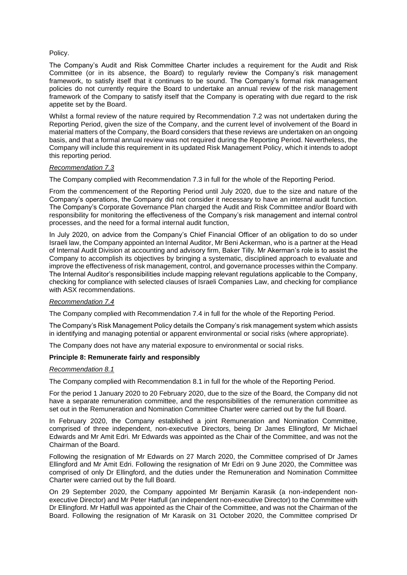# Policy.

The Company's Audit and Risk Committee Charter includes a requirement for the Audit and Risk Committee (or in its absence, the Board) to regularly review the Company's risk management framework, to satisfy itself that it continues to be sound. The Company's formal risk management policies do not currently require the Board to undertake an annual review of the risk management framework of the Company to satisfy itself that the Company is operating with due regard to the risk appetite set by the Board.

Whilst a formal review of the nature required by Recommendation 7.2 was not undertaken during the Reporting Period, given the size of the Company, and the current level of involvement of the Board in material matters of the Company, the Board considers that these reviews are undertaken on an ongoing basis, and that a formal annual review was not required during the Reporting Period. Nevertheless, the Company will include this requirement in its updated Risk Management Policy, which it intends to adopt this reporting period.

## *Recommendation 7.3*

The Company complied with Recommendation 7.3 in full for the whole of the Reporting Period.

From the commencement of the Reporting Period until July 2020, due to the size and nature of the Company's operations, the Company did not consider it necessary to have an internal audit function. The Company's Corporate Governance Plan charged the Audit and Risk Committee and/or Board with responsibility for monitoring the effectiveness of the Company's risk management and internal control processes, and the need for a formal internal audit function,

In July 2020, on advice from the Company's Chief Financial Officer of an obligation to do so under Israeli law, the Company appointed an Internal Auditor, Mr Beni Ackerman, who is a partner at the Head of Internal Audit Division at accounting and advisory firm, Baker Tilly. Mr Akerman's role is to assist the Company to accomplish its objectives by bringing a systematic, disciplined approach to evaluate and improve the effectiveness of risk management, control, and governance processes within the Company. The Internal Auditor's responsibilities include mapping relevant regulations applicable to the Company, checking for compliance with selected clauses of Israeli Companies Law, and checking for compliance with ASX recommendations.

## *Recommendation 7.4*

The Company complied with Recommendation 7.4 in full for the whole of the Reporting Period.

The Company's Risk Management Policy details the Company's risk management system which assists in identifying and managing potential or apparent environmental or social risks (where appropriate).

The Company does not have any material exposure to environmental or social risks.

## **Principle 8: Remunerate fairly and responsibly**

# *Recommendation 8.1*

The Company complied with Recommendation 8.1 in full for the whole of the Reporting Period.

For the period 1 January 2020 to 20 February 2020, due to the size of the Board, the Company did not have a separate remuneration committee, and the responsibilities of the remuneration committee as set out in the Remuneration and Nomination Committee Charter were carried out by the full Board.

In February 2020, the Company established a joint Remuneration and Nomination Committee, comprised of three independent, non-executive Directors, being Dr James Ellingford, Mr Michael Edwards and Mr Amit Edri. Mr Edwards was appointed as the Chair of the Committee, and was not the Chairman of the Board.

Following the resignation of Mr Edwards on 27 March 2020, the Committee comprised of Dr James Ellingford and Mr Amit Edri. Following the resignation of Mr Edri on 9 June 2020, the Committee was comprised of only Dr Ellingford, and the duties under the Remuneration and Nomination Committee Charter were carried out by the full Board.

On 29 September 2020, the Company appointed Mr Benjamin Karasik (a non-independent nonexecutive Director) and Mr Peter Hatfull (an independent non-executive Director) to the Committee with Dr Ellingford. Mr Hatfull was appointed as the Chair of the Committee, and was not the Chairman of the Board. Following the resignation of Mr Karasik on 31 October 2020, the Committee comprised Dr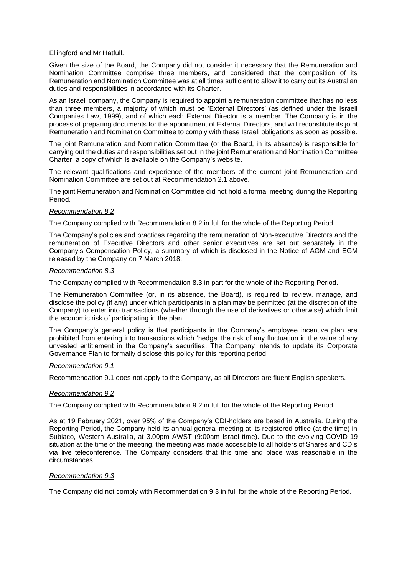Ellingford and Mr Hatfull.

Given the size of the Board, the Company did not consider it necessary that the Remuneration and Nomination Committee comprise three members, and considered that the composition of its Remuneration and Nomination Committee was at all times sufficient to allow it to carry out its Australian duties and responsibilities in accordance with its Charter.

As an Israeli company, the Company is required to appoint a remuneration committee that has no less than three members, a majority of which must be 'External Directors' (as defined under the Israeli Companies Law, 1999), and of which each External Director is a member. The Company is in the process of preparing documents for the appointment of External Directors, and will reconstitute its joint Remuneration and Nomination Committee to comply with these Israeli obligations as soon as possible.

The joint Remuneration and Nomination Committee (or the Board, in its absence) is responsible for carrying out the duties and responsibilities set out in the joint Remuneration and Nomination Committee Charter, a copy of which is available on the Company's website.

The relevant qualifications and experience of the members of the current joint Remuneration and Nomination Committee are set out at Recommendation 2.1 above.

The joint Remuneration and Nomination Committee did not hold a formal meeting during the Reporting Period.

## *Recommendation 8.2*

The Company complied with Recommendation 8.2 in full for the whole of the Reporting Period.

The Company's policies and practices regarding the remuneration of Non-executive Directors and the remuneration of Executive Directors and other senior executives are set out separately in the Company's Compensation Policy, a summary of which is disclosed in the Notice of AGM and EGM released by the Company on 7 March 2018.

## *Recommendation 8.3*

The Company complied with Recommendation 8.3 in part for the whole of the Reporting Period.

The Remuneration Committee (or, in its absence, the Board), is required to review, manage, and disclose the policy (if any) under which participants in a plan may be permitted (at the discretion of the Company) to enter into transactions (whether through the use of derivatives or otherwise) which limit the economic risk of participating in the plan.

The Company's general policy is that participants in the Company's employee incentive plan are prohibited from entering into transactions which 'hedge' the risk of any fluctuation in the value of any unvested entitlement in the Company's securities. The Company intends to update its Corporate Governance Plan to formally disclose this policy for this reporting period.

## *Recommendation 9.1*

Recommendation 9.1 does not apply to the Company, as all Directors are fluent English speakers.

## *Recommendation 9.2*

The Company complied with Recommendation 9.2 in full for the whole of the Reporting Period.

As at 19 February 2021, over 95% of the Company's CDI-holders are based in Australia. During the Reporting Period, the Company held its annual general meeting at its registered office (at the time) in Subiaco, Western Australia, at 3.00pm AWST (9:00am Israel time). Due to the evolving COVID-19 situation at the time of the meeting, the meeting was made accessible to all holders of Shares and CDIs via live teleconference. The Company considers that this time and place was reasonable in the circumstances.

## *Recommendation 9.3*

The Company did not comply with Recommendation 9.3 in full for the whole of the Reporting Period.